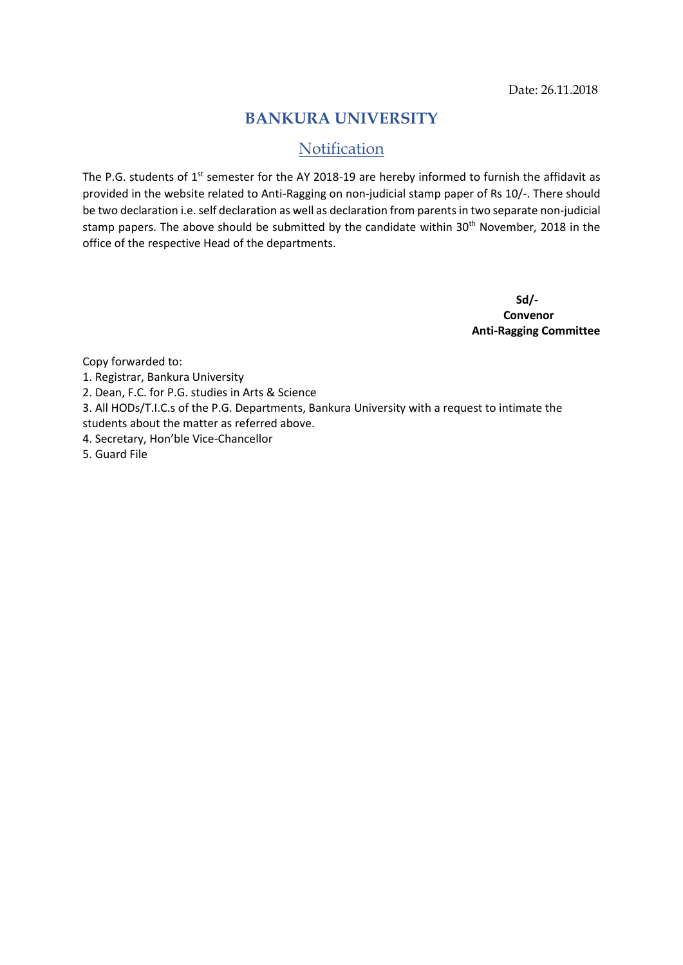## **BANKURA UNIVERSITY**

# Notification

The P.G. students of  $1^{st}$  semester for the AY 2018-19 are hereby informed to furnish the affidavit as provided in the website related to Anti-Ragging on non-judicial stamp paper of Rs 10/-. There should be two declaration i.e. self declaration as well as declaration from parents in two separate non-judicial stamp papers. The above should be submitted by the candidate within 30<sup>th</sup> November, 2018 in the office of the respective Head of the departments.

> **Sd/- Convenor Anti-Ragging Committee**

Copy forwarded to:

- 1. Registrar, Bankura University
- 2. Dean, F.C. for P.G. studies in Arts & Science
- 3. All HODs/T.I.C.s of the P.G. Departments, Bankura University with a request to intimate the
- students about the matter as referred above.
- 4. Secretary, Hon'ble Vice-Chancellor
- 5. Guard File